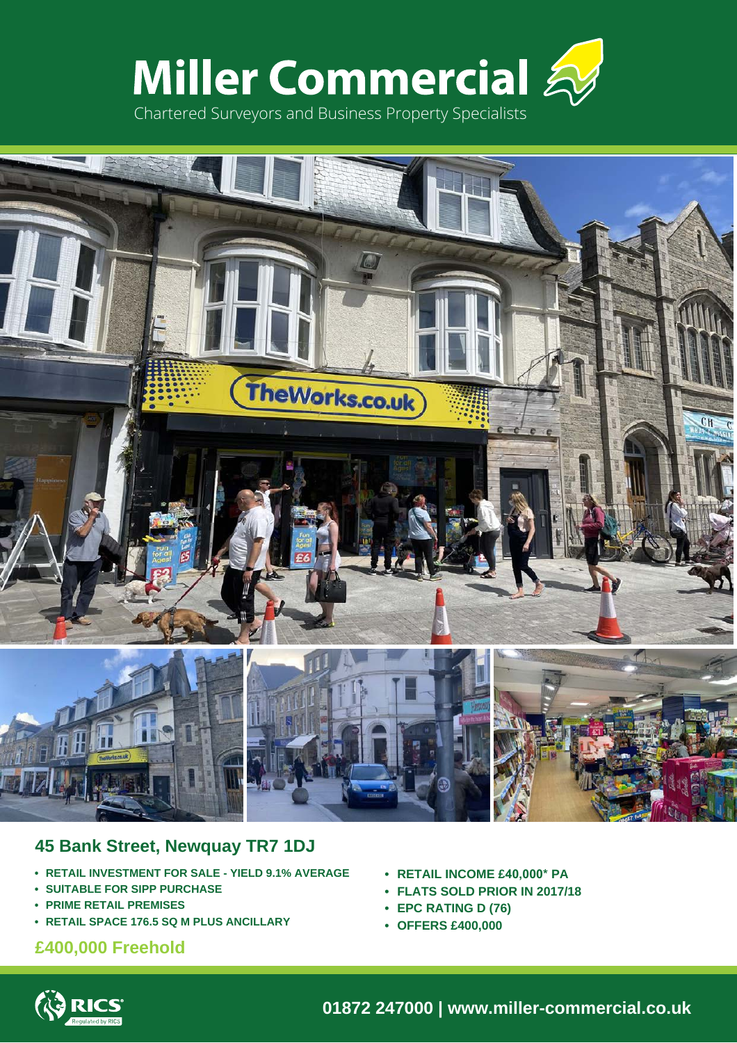



## **45 Bank Street, Newquay TR7 1DJ**

- **RETAIL INVESTMENT FOR SALE YIELD 9.1% AVERAGE**
- **SUITABLE FOR SIPP PURCHASE**
- **PRIME RETAIL PREMISES**
- **RETAIL SPACE 176.5 SQ M PLUS ANCILLARY**

### **£400,000 Freehold**

- **RETAIL INCOME £40,000\* PA**
- **FLATS SOLD PRIOR IN 2017/18**
- **EPC RATING D (76)**
- **OFFERS £400,000**



**01872 247000 | www.miller-commercial.co.uk**